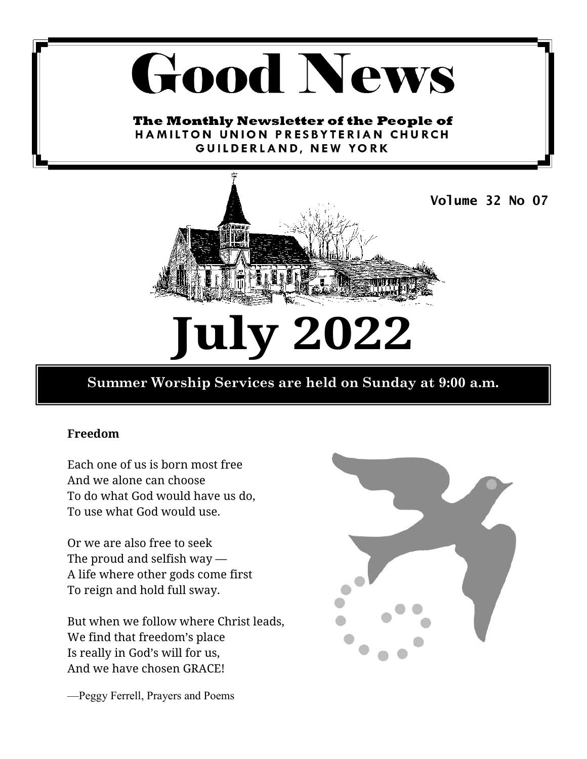# **Good News**

The Monthly Newsletter of the People of HAMILTON UNION PRESBYTERIAN CHURCH GUILDERLAND, NEW YORK



# **July 2022**

#### **Summer Worship Services are held on Sunday at 9:00 a.m.**

#### **Freedom**

Each one of us is born most free And we alone can choose To do what God would have us do, To use what God would use.

Or we are also free to seek The proud and selfish way — A life where other gods come first To reign and hold full sway.

But when we follow where Christ leads, We find that freedom's place Is really in God's will for us, And we have chosen GRACE!



—Peggy Ferrell, Prayers and Poems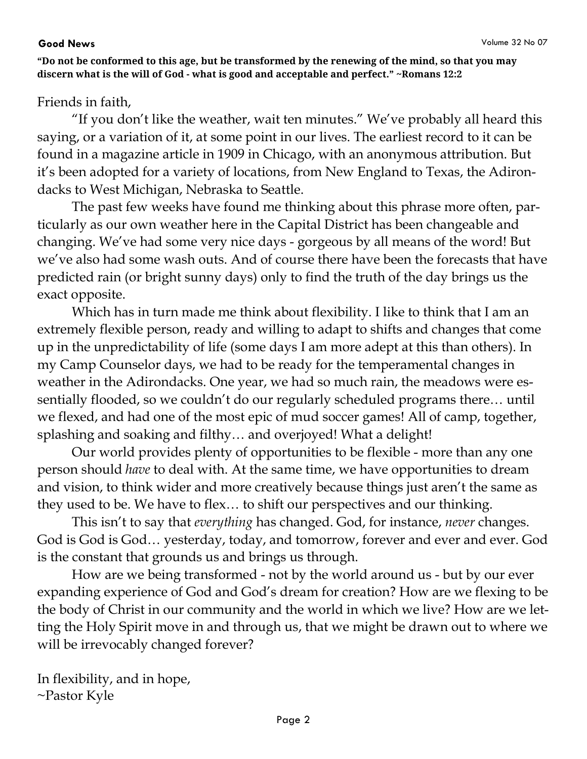**"Do not be conformed to this age, but be transformed by the renewing of the mind, so that you may discern what is the will of God - what is good and acceptable and perfect." ~Romans 12:2** 

#### Friends in faith,

"If you don't like the weather, wait ten minutes." We've probably all heard this saying, or a variation of it, at some point in our lives. The earliest record to it can be found in a magazine article in 1909 in Chicago, with an anonymous attribution. But it's been adopted for a variety of locations, from New England to Texas, the Adirondacks to West Michigan, Nebraska to Seattle.

The past few weeks have found me thinking about this phrase more often, particularly as our own weather here in the Capital District has been changeable and changing. We've had some very nice days - gorgeous by all means of the word! But we've also had some wash outs. And of course there have been the forecasts that have predicted rain (or bright sunny days) only to find the truth of the day brings us the exact opposite.

Which has in turn made me think about flexibility. I like to think that I am an extremely flexible person, ready and willing to adapt to shifts and changes that come up in the unpredictability of life (some days I am more adept at this than others). In my Camp Counselor days, we had to be ready for the temperamental changes in weather in the Adirondacks. One year, we had so much rain, the meadows were essentially flooded, so we couldn't do our regularly scheduled programs there… until we flexed, and had one of the most epic of mud soccer games! All of camp, together, splashing and soaking and filthy… and overjoyed! What a delight!

Our world provides plenty of opportunities to be flexible - more than any one person should *have* to deal with. At the same time, we have opportunities to dream and vision, to think wider and more creatively because things just aren't the same as they used to be. We have to flex… to shift our perspectives and our thinking.

This isn't to say that *everything* has changed. God, for instance, *never* changes. God is God is God… yesterday, today, and tomorrow, forever and ever and ever. God is the constant that grounds us and brings us through.

How are we being transformed - not by the world around us - but by our ever expanding experience of God and God's dream for creation? How are we flexing to be the body of Christ in our community and the world in which we live? How are we letting the Holy Spirit move in and through us, that we might be drawn out to where we will be irrevocably changed forever?

In flexibility, and in hope, ~Pastor Kyle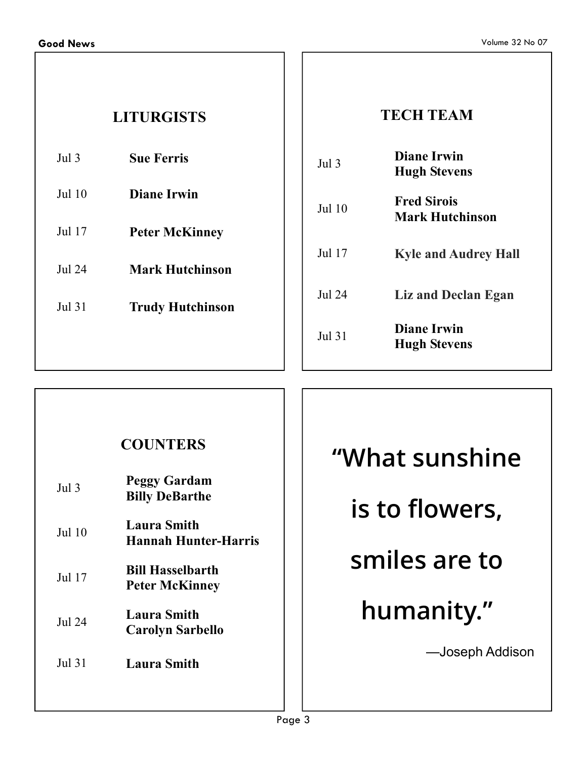## **LITURGISTS**

| Jul $3$ | <b>Sue Ferris</b> |
|---------|-------------------|
|---------|-------------------|

- Jul 10 **Diane Irwin**
- Jul 17 **Peter McKinney**

Jul 24 **Mark Hutchinson** 

Jul 31 **Trudy Hutchinson** 

#### **TECH TEAM**

| Jul 3  | Diane Irwin<br><b>Hugh Stevens</b>           |
|--------|----------------------------------------------|
| Jul 10 | <b>Fred Sirois</b><br><b>Mark Hutchinson</b> |
| Jul 17 | <b>Kyle and Audrey Hall</b>                  |
| Jul 24 | Liz and Declan Egan                          |
| Jul 31 | <b>Diane Irwin</b><br><b>Hugh Stevens</b>    |

#### **COUNTERS**

| Jul <sub>3</sub> | <b>Peggy Gardam</b><br><b>Billy DeBarthe</b>      |
|------------------|---------------------------------------------------|
| Jul 10           | <b>Laura Smith</b><br><b>Hannah Hunter-Harris</b> |
| Jul 17           | <b>Bill Hasselbarth</b><br><b>Peter McKinney</b>  |
| Jul 24           | <b>Laura Smith</b><br><b>Carolyn Sarbello</b>     |
| <b>Jul 31</b>    | <b>Laura Smith</b>                                |

## **"What sunshine is to flowers, smiles are to humanity."**  —Joseph Addison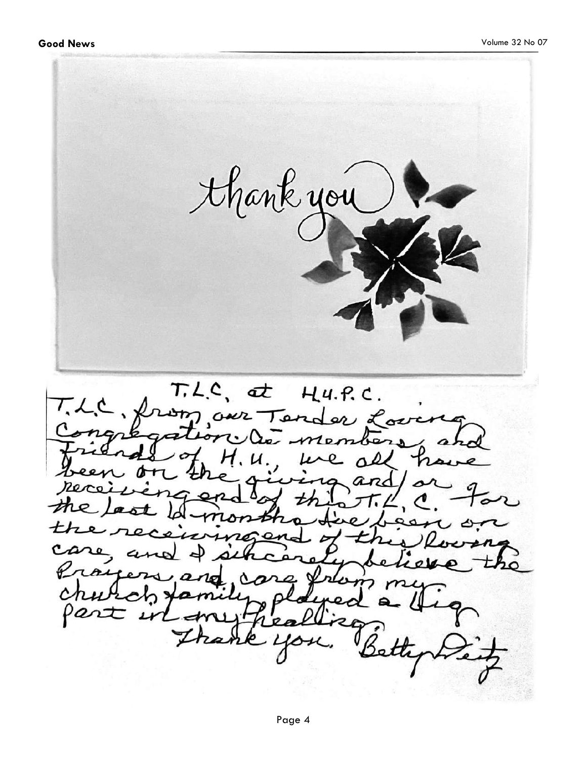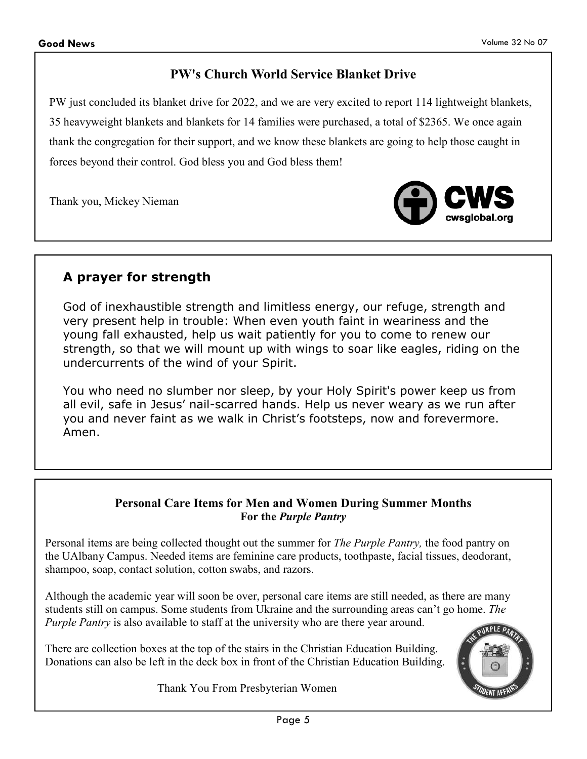#### **PW's Church World Service Blanket Drive**

PW just concluded its blanket drive for 2022, and we are very excited to report 114 lightweight blankets, 35 heavyweight blankets and blankets for 14 families were purchased, a total of \$2365. We once again thank the congregation for their support, and we know these blankets are going to help those caught in forces beyond their control. God bless you and God bless them!

Thank you, Mickey Nieman



#### **A prayer for strength**

God of inexhaustible strength and limitless energy, our refuge, strength and very present help in trouble: When even youth faint in weariness and the young fall exhausted, help us wait patiently for you to come to renew our strength, so that we will mount up with wings to soar like eagles, riding on the undercurrents of the wind of your Spirit.

You who need no slumber nor sleep, by your Holy Spirit's power keep us from all evil, safe in Jesus' nail-scarred hands. Help us never weary as we run after you and never faint as we walk in Christ's footsteps, now and forevermore. Amen.

#### **Personal Care Items for Men and Women During Summer Months For the** *Purple Pantry*

Personal items are being collected thought out the summer for *The Purple Pantry,* the food pantry on the UAlbany Campus. Needed items are feminine care products, toothpaste, facial tissues, deodorant, shampoo, soap, contact solution, cotton swabs, and razors.

Although the academic year will soon be over, personal care items are still needed, as there are many students still on campus. Some students from Ukraine and the surrounding areas can't go home. *The Purple Pantry* is also available to staff at the university who are there year around.

There are collection boxes at the top of the stairs in the Christian Education Building. Donations can also be left in the deck box in front of the Christian Education Building.

Thank You From Presbyterian Women

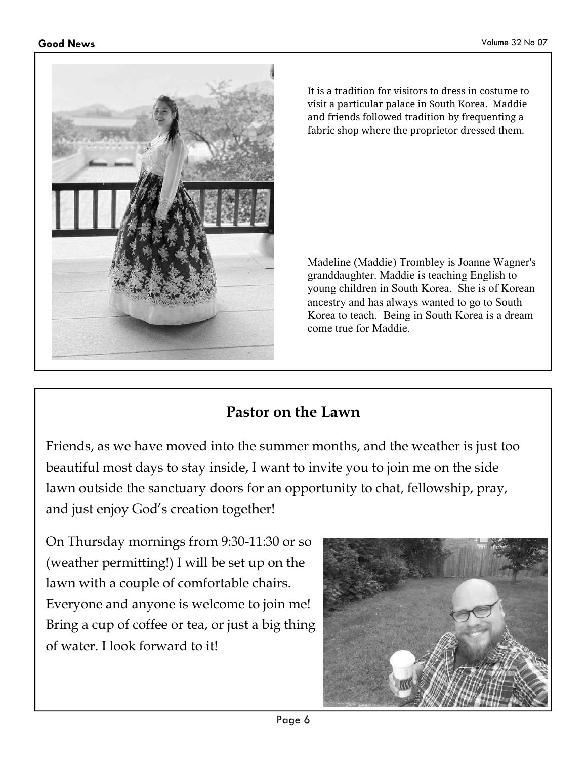

It is a tradition for visitors to dress in costume to visit a particular palace in South Korea. Maddie and friends followed tradition by frequenting a fabric shop where the proprietor dressed them.

Madeline (Maddie) Trombley is Joanne Wagner's granddaughter. Maddie is teaching English to young children in South Korea. She is of Korean ancestry and has always wanted to go to South Korea to teach. Being in South Korea is a dream come true for Maddie.

## **Pastor on the Lawn**

Friends, as we have moved into the summer months, and the weather is just too beautiful most days to stay inside, I want to invite you to join me on the side lawn outside the sanctuary doors for an opportunity to chat, fellowship, pray, and just enjoy God's creation together!

On Thursday mornings from 9:30-11:30 or so (weather permitting!) I will be set up on the lawn with a couple of comfortable chairs. Everyone and anyone is welcome to join me! Bring a cup of coffee or tea, or just a big thing of water. I look forward to it!

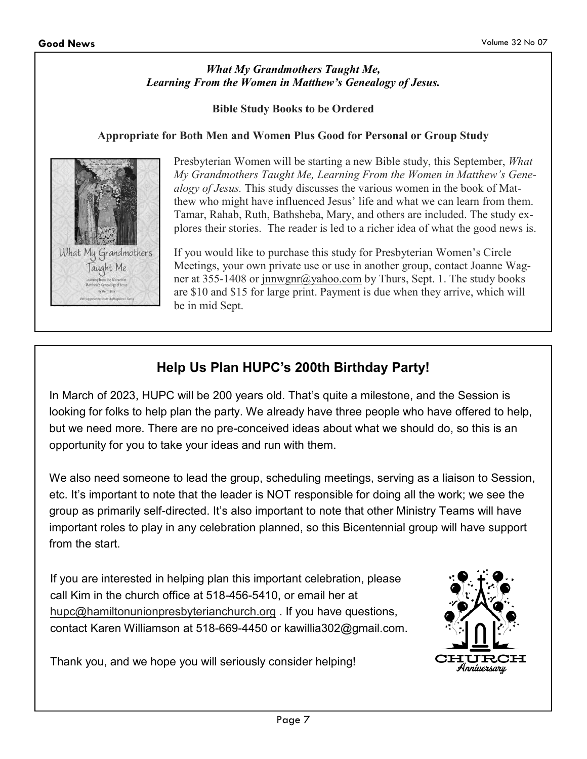#### *What My Grandmothers Taught Me, Learning From the Women in Matthew's Genealogy of Jesus.*

**Bible Study Books to be Ordered** 

#### **Appropriate for Both Men and Women Plus Good for Personal or Group Study**



Presbyterian Women will be starting a new Bible study, this September, *What My Grandmothers Taught Me, Learning From the Women in Matthew's Genealogy of Jesus.* This study discusses the various women in the book of Matthew who might have influenced Jesus' life and what we can learn from them. Tamar, Rahab, Ruth, Bathsheba, Mary, and others are included. The study explores their stories. The reader is led to a richer idea of what the good news is.

If you would like to purchase this study for Presbyterian Women's Circle Meetings, your own private use or use in another group, contact Joanne Wagner at 355-1408 or jnnwgnr@yahoo.com by Thurs, Sept. 1. The study books are \$10 and \$15 for large print. Payment is due when they arrive, which will be in mid Sept.

#### **Help Us Plan HUPC's 200th Birthday Party!**

In March of 2023, HUPC will be 200 years old. That's quite a milestone, and the Session is looking for folks to help plan the party. We already have three people who have offered to help, but we need more. There are no pre-conceived ideas about what we should do, so this is an opportunity for you to take your ideas and run with them.

We also need someone to lead the group, scheduling meetings, serving as a liaison to Session, etc. It's important to note that the leader is NOT responsible for doing all the work; we see the group as primarily self-directed. It's also important to note that other Ministry Teams will have important roles to play in any celebration planned, so this Bicentennial group will have support from the start.

If you are interested in helping plan this important celebration, please call Kim in the church office at 518-456-5410, or email her at hupc@hamiltonunionpresbyterianchurch.org . If you have questions, contact Karen Williamson at 518-669-4450 or kawillia302@gmail.com.



Thank you, and we hope you will seriously consider helping!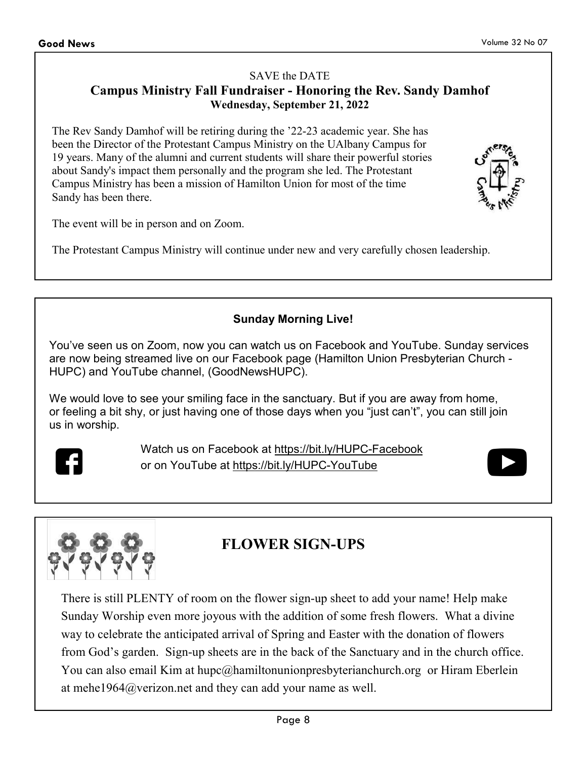#### SAVE the DATE **Campus Ministry Fall Fundraiser - Honoring the Rev. Sandy Damhof Wednesday, September 21, 2022**

The Rev Sandy Damhof will be retiring during the '22-23 academic year. She has been the Director of the Protestant Campus Ministry on the UAlbany Campus for 19 years. Many of the alumni and current students will share their powerful stories about Sandy's impact them personally and the program she led. The Protestant Campus Ministry has been a mission of Hamilton Union for most of the time Sandy has been there.

The event will be in person and on Zoom.

The Protestant Campus Ministry will continue under new and very carefully chosen leadership.

**Sunday Morning Live!** 

You've seen us on Zoom, now you can watch us on Facebook and YouTube. Sunday services are now being streamed live on our Facebook page (Hamilton Union Presbyterian Church - HUPC) and YouTube channel, (GoodNewsHUPC).

We would love to see your smiling face in the sanctuary. But if you are away from home, or feeling a bit shy, or just having one of those days when you "just can't", you can still join us in worship.



Watch us on Facebook at https://bit.ly/HUPC-Facebook or on YouTube at https://bit.ly/HUPC-YouTube





## **FLOWER SIGN-UPS**

There is still PLENTY of room on the flower sign-up sheet to add your name! Help make Sunday Worship even more joyous with the addition of some fresh flowers. What a divine way to celebrate the anticipated arrival of Spring and Easter with the donation of flowers from God's garden. Sign-up sheets are in the back of the Sanctuary and in the church office. You can also email Kim at hupc@hamiltonunionpresbyterianchurch.org or Hiram Eberlein at mehe1964@verizon.net and they can add your name as well.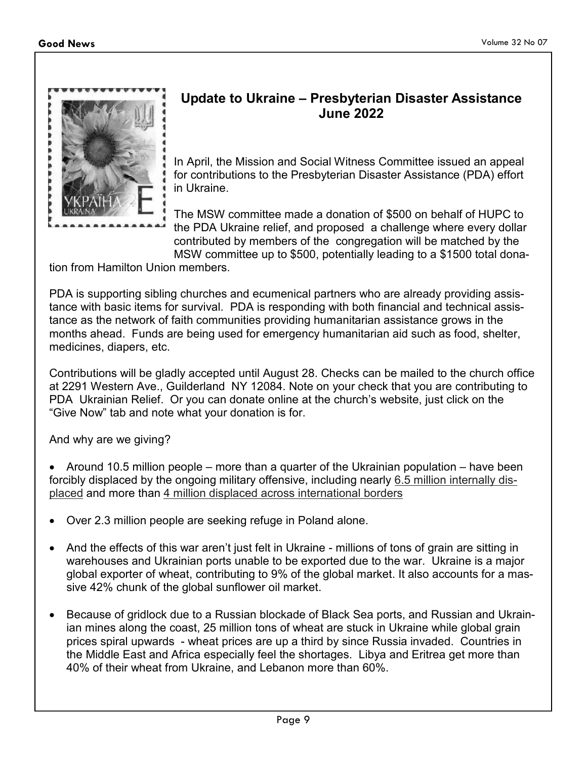

#### **Update to Ukraine – Presbyterian Disaster Assistance June 2022**

In April, the Mission and Social Witness Committee issued an appeal for contributions to the Presbyterian Disaster Assistance (PDA) effort in Ukraine.

The MSW committee made a donation of \$500 on behalf of HUPC to the PDA Ukraine relief, and proposed a challenge where every dollar contributed by members of the congregation will be matched by the MSW committee up to \$500, potentially leading to a \$1500 total dona-

tion from Hamilton Union members.

PDA is supporting sibling churches and ecumenical partners who are already providing assistance with basic items for survival. PDA is responding with both financial and technical assistance as the network of faith communities providing humanitarian assistance grows in the months ahead. Funds are being used for emergency humanitarian aid such as food, shelter, medicines, diapers, etc.

Contributions will be gladly accepted until August 28. Checks can be mailed to the church office at 2291 Western Ave., Guilderland NY 12084. Note on your check that you are contributing to PDA Ukrainian Relief. Or you can donate online at the church's website, just click on the "Give Now" tab and note what your donation is for.

And why are we giving?

- Around 10.5 million people more than a quarter of the Ukrainian population have been forcibly displaced by the ongoing military offensive, including nearly 6.5 million internally displaced and more than 4 million displaced across international borders
- Over 2.3 million people are seeking refuge in Poland alone.
- And the effects of this war aren't just felt in Ukraine millions of tons of grain are sitting in warehouses and Ukrainian ports unable to be exported due to the war. Ukraine is a major global exporter of wheat, contributing to 9% of the global market. It also accounts for a massive 42% chunk of the global sunflower oil market.
- Because of gridlock due to a Russian blockade of Black Sea ports, and Russian and Ukrainian mines along the coast, 25 million tons of wheat are stuck in Ukraine while global grain prices spiral upwards - wheat prices are up a third by since Russia invaded. Countries in the Middle East and Africa especially feel the shortages. Libya and Eritrea get more than 40% of their wheat from Ukraine, and Lebanon more than 60%.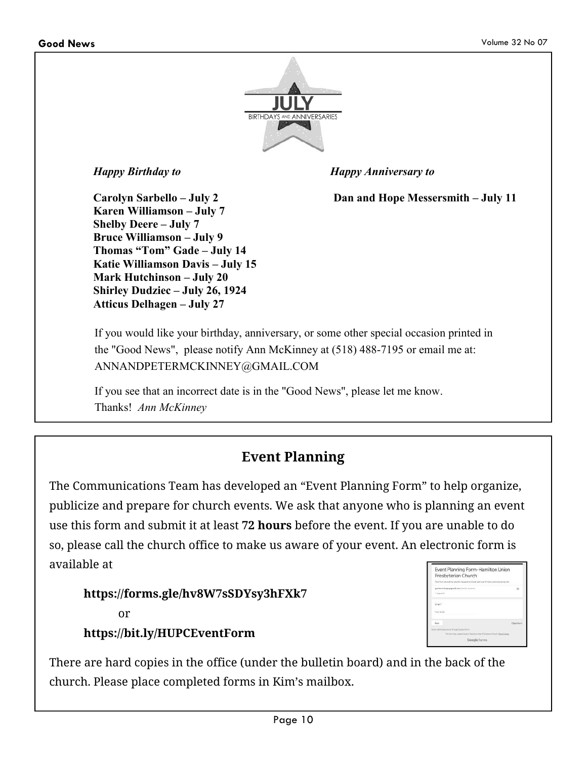

*Happy Birthday to Happy Anniversary to* 

**Carolyn Sarbello – July 2 Dan and Hope Messersmith – July 11** 

**Karen Williamson – July 7 Shelby Deere – July 7 Bruce Williamson – July 9 Thomas "Tom" Gade – July 14 Katie Williamson Davis – July 15 Mark Hutchinson – July 20 Shirley Dudziec – July 26, 1924 Atticus Delhagen – July 27** 

If you would like your birthday, anniversary, or some other special occasion printed in the "Good News", please notify Ann McKinney at (518) 488-7195 or email me at: ANNANDPETERMCKINNEY@GMAIL.COM

If you see that an incorrect date is in the "Good News", please let me know. Thanks! *Ann McKinney*

#### **Event Planning**

The Communications Team has developed an "Event Planning Form" to help organize, publicize and prepare for church events. We ask that anyone who is planning an event use this form and submit it at least **72 hours** before the event. If you are unable to do so, please call the church office to make us aware of your event. An electronic form is available at

| https://forms.gle/hv8W7sSDYsy3hFXk7 |
|-------------------------------------|
| or                                  |
| https://bit.ly/HUPCEventForm        |

| Event Planning Form-Hamilton Union                                                                |               |
|---------------------------------------------------------------------------------------------------|---------------|
| Presbyterian Church                                                                               |               |
| This form should be used to negate the Government of special consumers and                        |               |
| counts into an identified end of                                                                  |               |
| I keeppeel                                                                                        |               |
| <b>Great Fig.</b>                                                                                 |               |
| Ting wheel                                                                                        |               |
| <b>Service</b>                                                                                    | $\frac{1}{2}$ |
|                                                                                                   |               |
| have some pressure in though letters exclu-<br>the of his training that and in the first stage of |               |
| Google Forms                                                                                      |               |

There are hard copies in the office (under the bulletin board) and in the back of the church. Please place completed forms in Kim's mailbox.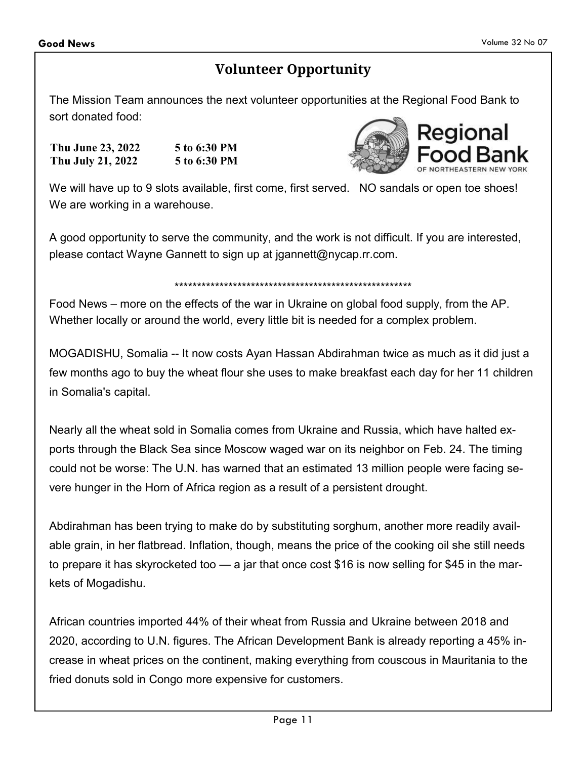#### **Volunteer Opportunity**

The Mission Team announces the next volunteer opportunities at the Regional Food Bank to sort donated food:

| Thu June 23, 2022 | 5 to 6:30 PM |
|-------------------|--------------|
| Thu July 21, 2022 | 5 to 6:30 PM |



We will have up to 9 slots available, first come, first served. NO sandals or open toe shoes! We are working in a warehouse.

A good opportunity to serve the community, and the work is not difficult. If you are interested, please contact Wayne Gannett to sign up at jgannett@nycap.rr.com.

#### \*\*\*\*\*\*\*\*\*\*\*\*\*\*\*\*\*\*\*\*\*\*\*\*\*\*\*\*\*\*\*\*\*\*\*\*\*\*\*\*\*\*\*\*\*\*\*\*\*\*\*\*\*

Food News – more on the effects of the war in Ukraine on global food supply, from the AP. Whether locally or around the world, every little bit is needed for a complex problem.

MOGADISHU, Somalia -- It now costs Ayan Hassan Abdirahman twice as much as it did just a few months ago to buy the wheat flour she uses to make breakfast each day for her 11 children in Somalia's capital.

Nearly all the wheat sold in Somalia comes from Ukraine and Russia, which have halted exports through the Black Sea since Moscow waged war on its neighbor on Feb. 24. The timing could not be worse: The U.N. has warned that an estimated 13 million people were facing severe hunger in the Horn of Africa region as a result of a persistent drought.

Abdirahman has been trying to make do by substituting sorghum, another more readily available grain, in her flatbread. Inflation, though, means the price of the cooking oil she still needs to prepare it has skyrocketed too — a jar that once cost \$16 is now selling for \$45 in the markets of Mogadishu.

African countries imported 44% of their wheat from Russia and Ukraine between 2018 and 2020, according to U.N. figures. The African Development Bank is already reporting a 45% increase in wheat prices on the continent, making everything from couscous in Mauritania to the fried donuts sold in Congo more expensive for customers.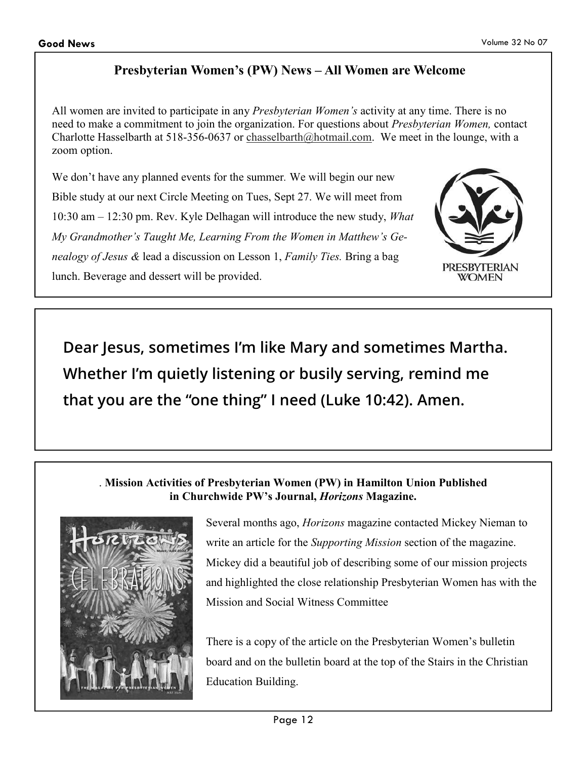#### **Presbyterian Women's (PW) News – All Women are Welcome**

All women are invited to participate in any *Presbyterian Women's* activity at any time. There is no need to make a commitment to join the organization. For questions about *Presbyterian Women,* contact Charlotte Hasselbarth at 518-356-0637 or chasselbarth@hotmail.com. We meet in the lounge, with a zoom option.

We don't have any planned events for the summer*.* We will begin our new Bible study at our next Circle Meeting on Tues, Sept 27. We will meet from 10:30 am – 12:30 pm. Rev. Kyle Delhagan will introduce the new study, *What My Grandmother's Taught Me, Learning From the Women in Matthew's Genealogy of Jesus &* lead a discussion on Lesson 1, *Family Ties.* Bring a bag lunch. Beverage and dessert will be provided.



**Dear Jesus, sometimes I'm like Mary and sometimes Martha. Whether I'm quietly listening or busily serving, remind me that you are the "one thing" I need (Luke 10:42). Amen.** 

#### . **Mission Activities of Presbyterian Women (PW) in Hamilton Union Published in Churchwide PW's Journal,** *Horizons* **Magazine.**



Several months ago, *Horizons* magazine contacted Mickey Nieman to write an article for the *Supporting Mission* section of the magazine. Mickey did a beautiful job of describing some of our mission projects and highlighted the close relationship Presbyterian Women has with the Mission and Social Witness Committee

There is a copy of the article on the Presbyterian Women's bulletin board and on the bulletin board at the top of the Stairs in the Christian Education Building.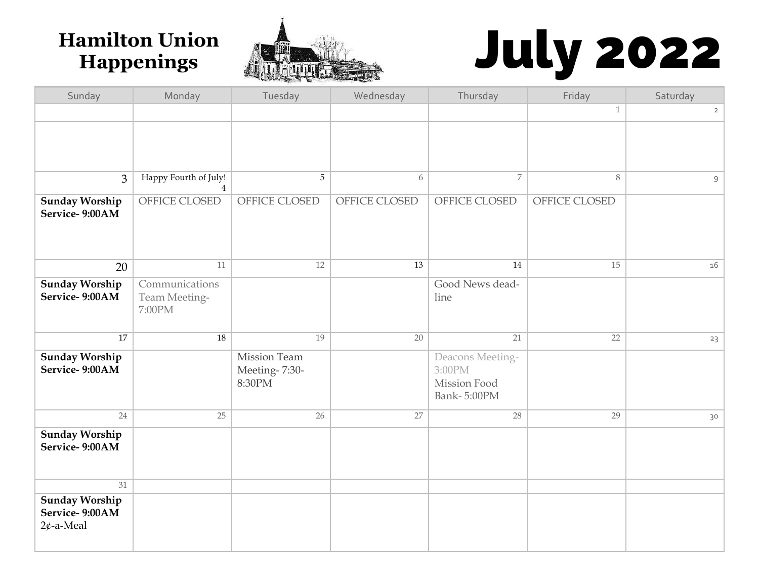

# **Hamilton Union Reprise to the Colly 2022**<br>
Sunday Monday Tuesday Wednesday Thursday Friday Saturday

| Sunday                                                  | Monday                                    | Tuesday                                 | Wednesday     | Thursday                                                  | Friday        | Saturday       |
|---------------------------------------------------------|-------------------------------------------|-----------------------------------------|---------------|-----------------------------------------------------------|---------------|----------------|
|                                                         |                                           |                                         |               |                                                           | $\mathbf{1}$  | $\overline{2}$ |
|                                                         |                                           |                                         |               |                                                           |               |                |
| $\mathfrak{Z}$                                          | Happy Fourth of July!<br>$\overline{4}$   | 5                                       | 6             | $\overline{7}$                                            | 8             | 9              |
| <b>Sunday Worship</b><br>Service-9:00AM                 | OFFICE CLOSED                             | OFFICE CLOSED                           | OFFICE CLOSED | OFFICE CLOSED                                             | OFFICE CLOSED |                |
| 20                                                      | 11                                        | 12                                      | 13            | 14                                                        | 15            | 16             |
| <b>Sunday Worship</b><br>Service-9:00AM                 | Communications<br>Team Meeting-<br>7:00PM |                                         |               | Good News dead-<br>line                                   |               |                |
| 17                                                      | 18                                        | 19                                      | 20            | 21                                                        | 22            | 23             |
| <b>Sunday Worship</b><br>Service-9:00AM                 |                                           | Mission Team<br>Meeting-7:30-<br>8:30PM |               | Deacons Meeting-<br>3:00PM<br>Mission Food<br>Bank-5:00PM |               |                |
| 24                                                      | 25                                        | 26                                      | 27            | 28                                                        | 29            | 30             |
| <b>Sunday Worship</b><br>Service-9:00AM                 |                                           |                                         |               |                                                           |               |                |
| 31                                                      |                                           |                                         |               |                                                           |               |                |
| <b>Sunday Worship</b><br>Service-9:00AM<br>$2¢$ -a-Meal |                                           |                                         |               |                                                           |               |                |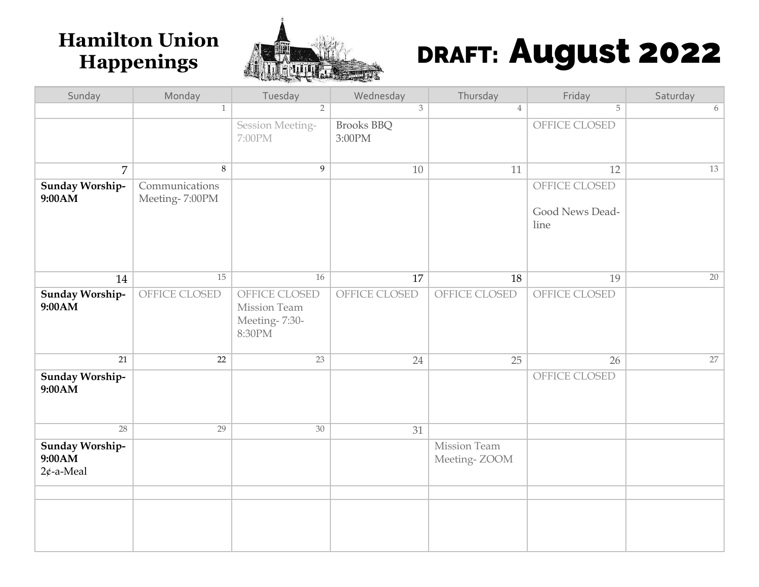

## Hamilton Union **Manuel 2022**<br>Happenings **Allege Report 2022**

| Sunday                                    | Monday                           | Tuesday                                                  | Wednesday                   | Thursday                     | Friday                                   | Saturday |
|-------------------------------------------|----------------------------------|----------------------------------------------------------|-----------------------------|------------------------------|------------------------------------------|----------|
|                                           | $\mathbf{1}$                     | $\overline{2}$                                           | 3                           | $\overline{4}$               | 5                                        | 6        |
|                                           |                                  | Session Meeting-<br>7:00PM                               | <b>Brooks BBQ</b><br>3:00PM |                              | OFFICE CLOSED                            |          |
| 7                                         | $\,8\,$                          | $\overline{9}$                                           | 10                          | 11                           | 12                                       | 13       |
| Sunday Worship-<br>9:00AM                 | Communications<br>Meeting-7:00PM |                                                          |                             |                              | OFFICE CLOSED<br>Good News Dead-<br>line |          |
| 14                                        | 15                               | 16                                                       | 17                          | 18                           | 19                                       | 20       |
| Sunday Worship-<br>9:00AM                 | OFFICE CLOSED                    | OFFICE CLOSED<br>Mission Team<br>Meeting-7:30-<br>8:30PM | OFFICE CLOSED               | OFFICE CLOSED                | OFFICE CLOSED                            |          |
| 21                                        | 22                               | 23                                                       | 24                          | 25                           | 26                                       | 27       |
| Sunday Worship-<br>9:00AM                 |                                  |                                                          |                             |                              | OFFICE CLOSED                            |          |
| 28                                        | 29                               | 30                                                       | 31                          |                              |                                          |          |
| Sunday Worship-<br>9:00AM<br>$2¢$ -a-Meal |                                  |                                                          |                             | Mission Team<br>Meeting-ZOOM |                                          |          |
|                                           |                                  |                                                          |                             |                              |                                          |          |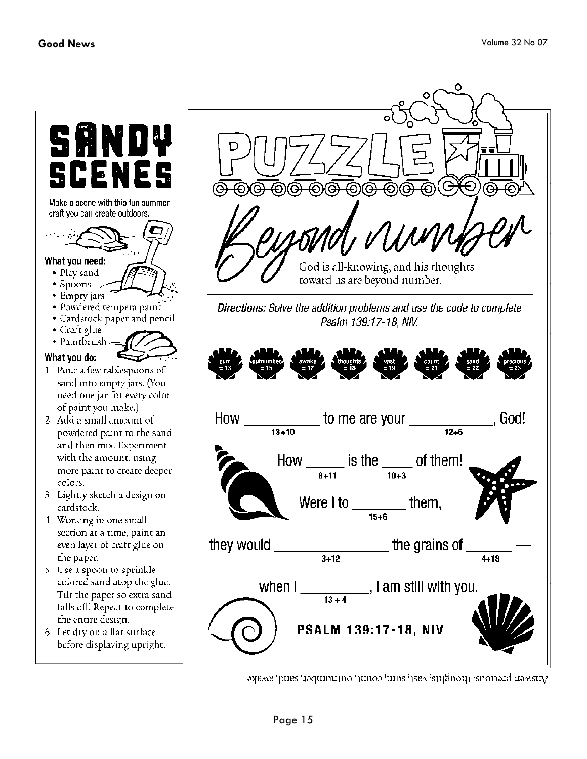What you need:

• Play sand

• Spoons • Empty jars

• Craft glue

What you do:

colors.

cardstock.

the paper.

. God!

о



gramsu: biccione' chonghta' aset' ann' conin' ontunumet and swake